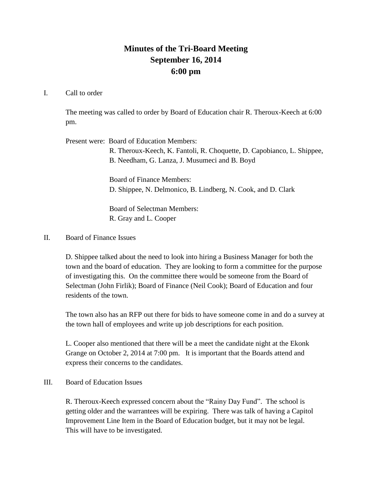# **Minutes of the Tri-Board Meeting September 16, 2014 6:00 pm**

#### I. Call to order

The meeting was called to order by Board of Education chair R. Theroux-Keech at 6:00 pm.

Present were: Board of Education Members:

R. Theroux-Keech, K. Fantoli, R. Choquette, D. Capobianco, L. Shippee, B. Needham, G. Lanza, J. Musumeci and B. Boyd

Board of Finance Members: D. Shippee, N. Delmonico, B. Lindberg, N. Cook, and D. Clark

Board of Selectman Members: R. Gray and L. Cooper

### II. Board of Finance Issues

D. Shippee talked about the need to look into hiring a Business Manager for both the town and the board of education. They are looking to form a committee for the purpose of investigating this. On the committee there would be someone from the Board of Selectman (John Firlik); Board of Finance (Neil Cook); Board of Education and four residents of the town.

The town also has an RFP out there for bids to have someone come in and do a survey at the town hall of employees and write up job descriptions for each position.

L. Cooper also mentioned that there will be a meet the candidate night at the Ekonk Grange on October 2, 2014 at 7:00 pm. It is important that the Boards attend and express their concerns to the candidates.

### III. Board of Education Issues

R. Theroux-Keech expressed concern about the "Rainy Day Fund". The school is getting older and the warrantees will be expiring. There was talk of having a Capitol Improvement Line Item in the Board of Education budget, but it may not be legal. This will have to be investigated.